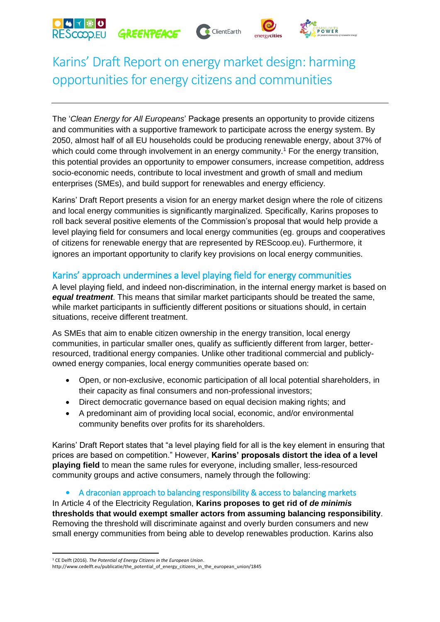# GREENPEACE





# Karins' Draft Report on energy market design: harming opportunities for energy citizens and communities

The '*Clean Energy for All Europeans*' Package presents an opportunity to provide citizens and communities with a supportive framework to participate across the energy system. By 2050, almost half of all EU households could be producing renewable energy, about 37% of which could come through involvement in an energy community.<sup>1</sup> For the energy transition, this potential provides an opportunity to empower consumers, increase competition, address socio-economic needs, contribute to local investment and growth of small and medium enterprises (SMEs), and build support for renewables and energy efficiency.

Karins' Draft Report presents a vision for an energy market design where the role of citizens and local energy communities is significantly marginalized. Specifically, Karins proposes to roll back several positive elements of the Commission's proposal that would help provide a level playing field for consumers and local energy communities (eg. groups and cooperatives of citizens for renewable energy that are represented by REScoop.eu). Furthermore, it ignores an important opportunity to clarify key provisions on local energy communities.

### Karins' approach undermines a level playing field for energy communities

A level playing field, and indeed non-discrimination, in the internal energy market is based on *equal treatment*. This means that similar market participants should be treated the same, while market participants in sufficiently different positions or situations should, in certain situations, receive different treatment.

As SMEs that aim to enable citizen ownership in the energy transition, local energy communities, in particular smaller ones, qualify as sufficiently different from larger, betterresourced, traditional energy companies. Unlike other traditional commercial and publiclyowned energy companies, local energy communities operate based on:

- Open, or non-exclusive, economic participation of all local potential shareholders, in their capacity as final consumers and non-professional investors;
- Direct democratic governance based on equal decision making rights; and
- A predominant aim of providing local social, economic, and/or environmental community benefits over profits for its shareholders.

Karins' Draft Report states that "a level playing field for all is the key element in ensuring that prices are based on competition." However, **Karins' proposals distort the idea of a level playing field** to mean the same rules for everyone, including smaller, less-resourced community groups and active consumers, namely through the following:

#### • A draconian approach to balancing responsibility & access to balancing markets

In Article 4 of the Electricity Regulation, **Karins proposes to get rid of** *de minimis* **thresholds that would exempt smaller actors from assuming balancing responsibility**. Removing the threshold will discriminate against and overly burden consumers and new small energy communities from being able to develop renewables production. Karins also

<sup>1</sup> <sup>1</sup> CE Delft (2016). *The Potential of Energy Citizens in the European Union*.

http://www.cedelft.eu/publicatie/the\_potential\_of\_energy\_citizens\_in\_the\_european\_union/1845